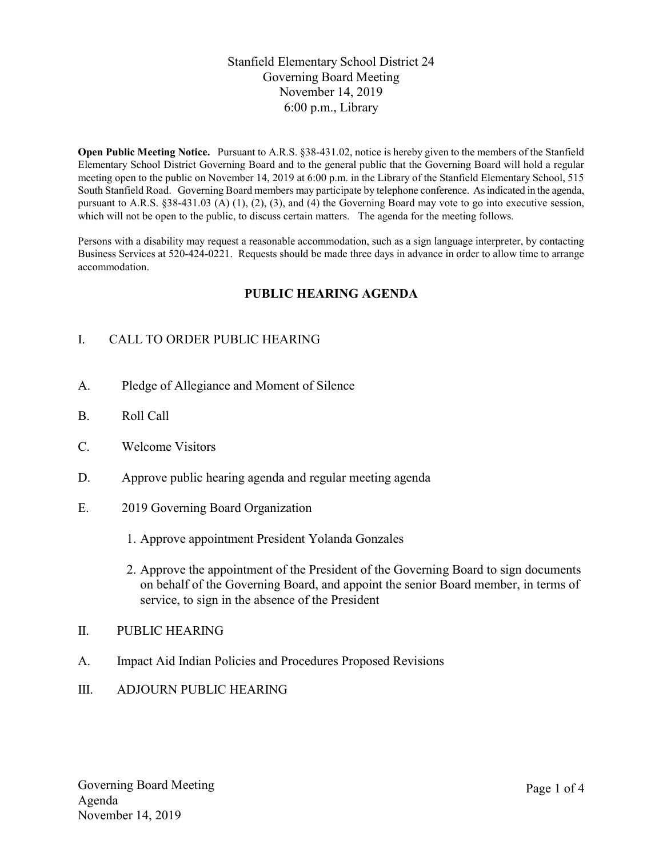## Stanfield Elementary School District 24 Governing Board Meeting November 14, 2019 6:00 p.m., Library

Open Public Meeting Notice. Pursuant to A.R.S. §38-431.02, notice is hereby given to the members of the Stanfield Elementary School District Governing Board and to the general public that the Governing Board will hold a regular meeting open to the public on November 14, 2019 at 6:00 p.m. in the Library of the Stanfield Elementary School, 515 South Stanfield Road. Governing Board members may participate by telephone conference. As indicated in the agenda, pursuant to A.R.S. §38-431.03 (A) (1), (2), (3), and (4) the Governing Board may vote to go into executive session, which will not be open to the public, to discuss certain matters. The agenda for the meeting follows.

Persons with a disability may request a reasonable accommodation, such as a sign language interpreter, by contacting Business Services at 520-424-0221. Requests should be made three days in advance in order to allow time to arrange accommodation.

## PUBLIC HEARING AGENDA

# I. CALL TO ORDER PUBLIC HEARING

- A. Pledge of Allegiance and Moment of Silence
- B. Roll Call
- C. Welcome Visitors
- D. Approve public hearing agenda and regular meeting agenda
- E. 2019 Governing Board Organization
	- 1. Approve appointment President Yolanda Gonzales
	- 2. Approve the appointment of the President of the Governing Board to sign documents on behalf of the Governing Board, and appoint the senior Board member, in terms of service, to sign in the absence of the President
- II. PUBLIC HEARING
- A. Impact Aid Indian Policies and Procedures Proposed Revisions
- III. ADJOURN PUBLIC HEARING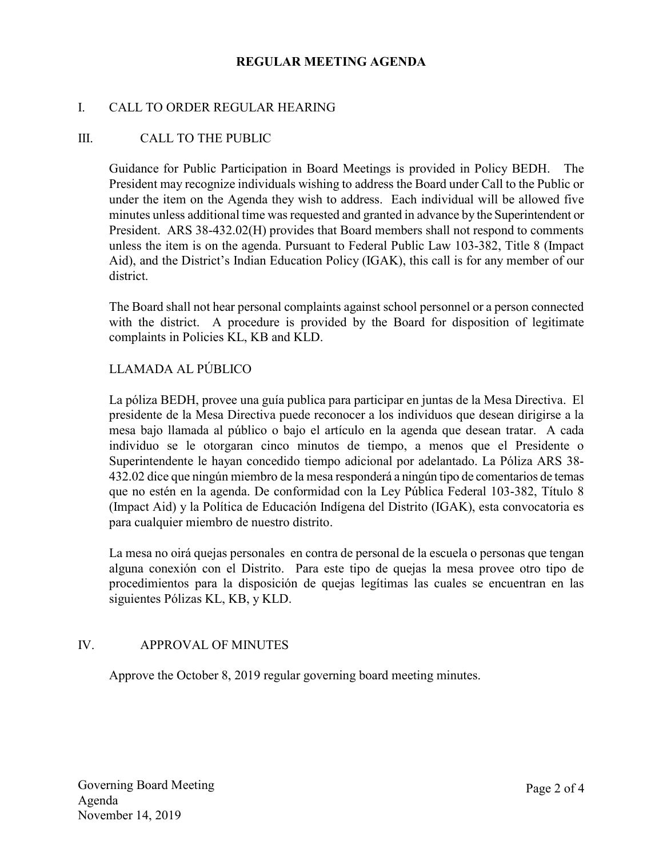### REGULAR MEETING AGENDA

### I. CALL TO ORDER REGULAR HEARING

### III. CALL TO THE PUBLIC

Guidance for Public Participation in Board Meetings is provided in Policy BEDH. The President may recognize individuals wishing to address the Board under Call to the Public or under the item on the Agenda they wish to address. Each individual will be allowed five minutes unless additional time was requested and granted in advance by the Superintendent or President. ARS 38-432.02(H) provides that Board members shall not respond to comments unless the item is on the agenda. Pursuant to Federal Public Law 103-382, Title 8 (Impact Aid), and the District's Indian Education Policy (IGAK), this call is for any member of our district.

The Board shall not hear personal complaints against school personnel or a person connected with the district. A procedure is provided by the Board for disposition of legitimate complaints in Policies KL, KB and KLD.

## LLAMADA AL PÚBLICO

La póliza BEDH, provee una guía publica para participar en juntas de la Mesa Directiva. El presidente de la Mesa Directiva puede reconocer a los individuos que desean dirigirse a la mesa bajo llamada al público o bajo el artículo en la agenda que desean tratar. A cada individuo se le otorgaran cinco minutos de tiempo, a menos que el Presidente o Superintendente le hayan concedido tiempo adicional por adelantado. La Póliza ARS 38- 432.02 dice que ningún miembro de la mesa responderá a ningún tipo de comentarios de temas que no estén en la agenda. De conformidad con la Ley Pública Federal 103-382, Título 8 (Impact Aid) y la Política de Educación Indígena del Distrito (IGAK), esta convocatoria es para cualquier miembro de nuestro distrito.

La mesa no oirá quejas personales en contra de personal de la escuela o personas que tengan alguna conexión con el Distrito. Para este tipo de quejas la mesa provee otro tipo de procedimientos para la disposición de quejas legítimas las cuales se encuentran en las siguientes Pólizas KL, KB, y KLD.

## IV. APPROVAL OF MINUTES

Approve the October 8, 2019 regular governing board meeting minutes.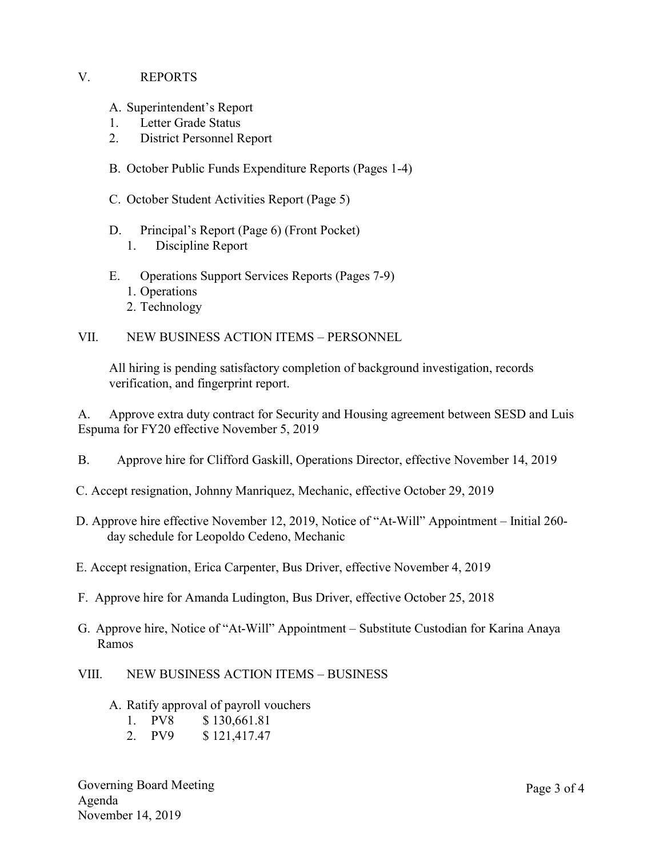### V. REPORTS

A. Superintendent's Report

- 1. Letter Grade Status
- 2. District Personnel Report
- B. October Public Funds Expenditure Reports (Pages 1-4)
- C. October Student Activities Report (Page 5)
- D. Principal's Report (Page 6) (Front Pocket) 1. Discipline Report
- E. Operations Support Services Reports (Pages 7-9)
	- 1. Operations
	- 2. Technology

### VII. NEW BUSINESS ACTION ITEMS – PERSONNEL

All hiring is pending satisfactory completion of background investigation, records verification, and fingerprint report.

A. Approve extra duty contract for Security and Housing agreement between SESD and Luis Espuma for FY20 effective November 5, 2019

- B. Approve hire for Clifford Gaskill, Operations Director, effective November 14, 2019
- C. Accept resignation, Johnny Manriquez, Mechanic, effective October 29, 2019
- D. Approve hire effective November 12, 2019, Notice of "At-Will" Appointment Initial 260 day schedule for Leopoldo Cedeno, Mechanic
- E. Accept resignation, Erica Carpenter, Bus Driver, effective November 4, 2019
- F. Approve hire for Amanda Ludington, Bus Driver, effective October 25, 2018
- G. Approve hire, Notice of "At-Will" Appointment Substitute Custodian for Karina Anaya Ramos
- VIII. NEW BUSINESS ACTION ITEMS BUSINESS
	- A. Ratify approval of payroll vouchers

| \$130,661.81<br>1.<br>PV8 |
|---------------------------|
|---------------------------|

2. PV9 \$ 121,417.47